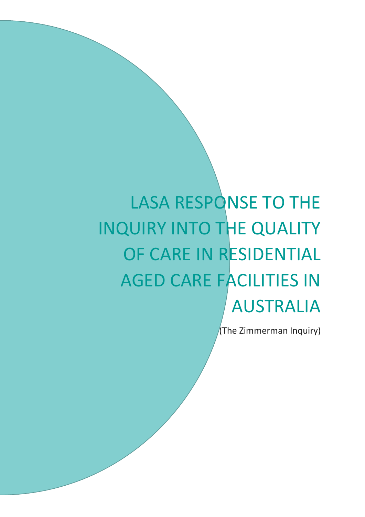# LASA RESPONSE TO THE INQUIRY INTO THE QUALITY OF CARE IN RESIDENTIAL AGED CARE FACILITIES IN AUSTRALIA

(The Zimmerman Inquiry)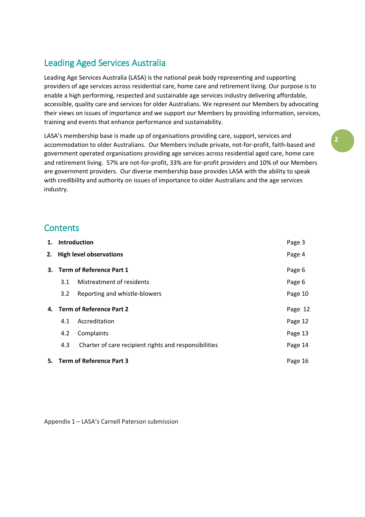# Leading Aged Services Australia

Leading Age Services Australia (LASA) is the national peak body representing and supporting providers of age services across residential care, home care and retirement living. Our purpose is to enable a high performing, respected and sustainable age services industry delivering affordable, accessible, quality care and services for older Australians. We represent our Members by advocating their views on issues of importance and we support our Members by providing information, services, training and events that enhance performance and sustainability.

LASA's membership base is made up of organisations providing care, support, services and accommodation to older Australians. Our Members include private, not-for-profit, faith-based and government operated organisations providing age services across residential aged care, home care and retirement living. 57% are not-for-profit, 33% are for-profit providers and 10% of our Members are government providers. Our diverse membership base provides LASA with the ability to speak with credibility and authority on issues of importance to older Australians and the age services industry.

# **Contents**

| 1.                          | Introduction<br>2. High level observations |                                                       | Page 3  |
|-----------------------------|--------------------------------------------|-------------------------------------------------------|---------|
|                             |                                            |                                                       | Page 4  |
|                             | 3. Term of Reference Part 1                |                                                       | Page 6  |
|                             | 3.1                                        | Mistreatment of residents                             | Page 6  |
|                             | $3.2^{\circ}$                              | Reporting and whistle-blowers                         | Page 10 |
| 4. Term of Reference Part 2 |                                            |                                                       | Page 12 |
|                             | 4.1                                        | Accreditation                                         | Page 12 |
|                             | 4.2                                        | Complaints                                            | Page 13 |
|                             | 4.3                                        | Charter of care recipient rights and responsibilities | Page 14 |
|                             |                                            | 5. Term of Reference Part 3                           | Page 16 |

Appendix 1 – LASA's Carnell Paterson submission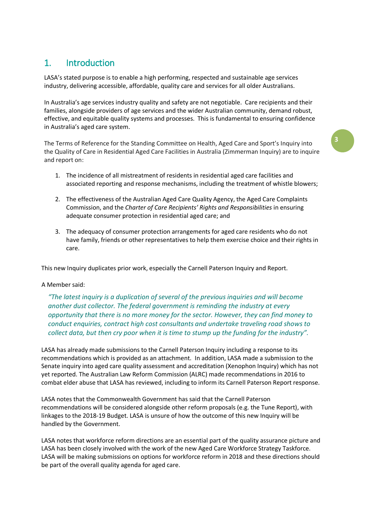# 1. Introduction

LASA's stated purpose is to enable a high performing, respected and sustainable age services industry, delivering accessible, affordable, quality care and services for all older Australians.

In Australia's age services industry quality and safety are not negotiable. Care recipients and their families, alongside providers of age services and the wider Australian community, demand robust, effective, and equitable quality systems and processes. This is fundamental to ensuring confidence in Australia's aged care system.

The Terms of Reference for the Standing Committee on Health, Aged Care and Sport's Inquiry into the Quality of Care in Residential Aged Care Facilities in Australia (Zimmerman Inquiry) are to inquire and report on:

- 1. The incidence of all mistreatment of residents in residential aged care facilities and associated reporting and response mechanisms, including the treatment of whistle blowers;
- 2. The effectiveness of the Australian Aged Care Quality Agency, the Aged Care Complaints Commission, and the *Charter of Care Recipients' Rights and Responsibilities* in ensuring adequate consumer protection in residential aged care; and
- 3. The adequacy of consumer protection arrangements for aged care residents who do not have family, friends or other representatives to help them exercise choice and their rights in care.

This new Inquiry duplicates prior work, especially the Carnell Paterson Inquiry and Report.

#### A Member said:

*"The latest inquiry is a duplication of several of the previous inquiries and will become another dust collector. The federal government is reminding the industry at every opportunity that there is no more money for the sector. However, they can find money to conduct enquiries, contract high cost consultants and undertake traveling road shows to collect data, but then cry poor when it is time to stump up the funding for the industry".*

LASA has already made submissions to the Carnell Paterson Inquiry including a response to its recommendations which is provided as an attachment. In addition, LASA made a submission to the Senate inquiry into aged care quality assessment and accreditation (Xenophon Inquiry) which has not yet reported. The Australian Law Reform Commission (ALRC) made recommendations in 2016 to combat elder abuse that LASA has reviewed, including to inform its Carnell Paterson Report response.

LASA notes that the Commonwealth Government has said that the Carnell Paterson recommendations will be considered alongside other reform proposals (e.g. the Tune Report), with linkages to the 2018-19 Budget. LASA is unsure of how the outcome of this new Inquiry will be handled by the Government.

LASA notes that workforce reform directions are an essential part of the quality assurance picture and LASA has been closely involved with the work of the new Aged Care Workforce Strategy Taskforce. LASA will be making submissions on options for workforce reform in 2018 and these directions should be part of the overall quality agenda for aged care.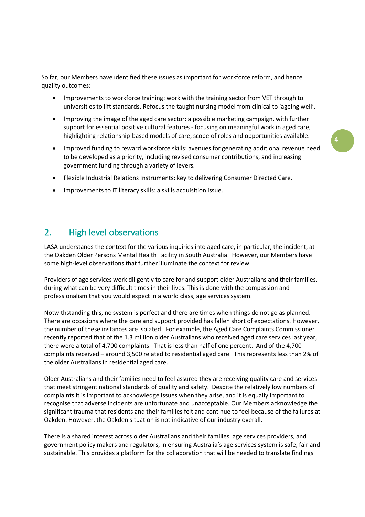So far, our Members have identified these issues as important for workforce reform, and hence quality outcomes:

- Improvements to workforce training: work with the training sector from VET through to universities to lift standards. Refocus the taught nursing model from clinical to 'ageing well'.
- Improving the image of the aged care sector: a possible marketing campaign, with further support for essential positive cultural features - focusing on meaningful work in aged care, highlighting relationship-based models of care, scope of roles and opportunities available.
- Improved funding to reward workforce skills: avenues for generating additional revenue need to be developed as a priority, including revised consumer contributions, and increasing government funding through a variety of levers.
- Flexible Industrial Relations Instruments: key to delivering Consumer Directed Care.
- Improvements to IT literacy skills: a skills acquisition issue.

# 2. High level observations

LASA understands the context for the various inquiries into aged care, in particular, the incident, at the Oakden Older Persons Mental Health Facility in South Australia. However, our Members have some high-level observations that further illuminate the context for review.

Providers of age services work diligently to care for and support older Australians and their families, during what can be very difficult times in their lives. This is done with the compassion and professionalism that you would expect in a world class, age services system.

Notwithstanding this, no system is perfect and there are times when things do not go as planned. There are occasions where the care and support provided has fallen short of expectations. However, the number of these instances are isolated. For example, the Aged Care Complaints Commissioner recently reported that of the 1.3 million older Australians who received aged care services last year, there were a total of 4,700 complaints. That is less than half of one percent. And of the 4,700 complaints received – around 3,500 related to residential aged care. This represents less than 2% of the older Australians in residential aged care.

Older Australians and their families need to feel assured they are receiving quality care and services that meet stringent national standards of quality and safety. Despite the relatively low numbers of complaints it is important to acknowledge issues when they arise, and it is equally important to recognise that adverse incidents are unfortunate and unacceptable. Our Members acknowledge the significant trauma that residents and their families felt and continue to feel because of the failures at Oakden. However, the Oakden situation is not indicative of our industry overall.

There is a shared interest across older Australians and their families, age services providers, and government policy makers and regulators, in ensuring Australia's age services system is safe, fair and sustainable. This provides a platform for the collaboration that will be needed to translate findings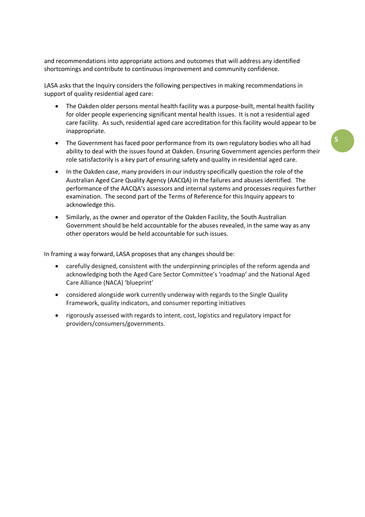and recommendations into appropriate actions and outcomes that will address any identified shortcomings and contribute to continuous improvement and community confidence.

LASA asks that the Inquiry considers the following perspectives in making recommendations in support of quality residential aged care:

- The Oakden older persons mental health facility was a purpose-built, mental health facility for older people experiencing significant mental health issues. It is not a residential aged care facility. As such, residential aged care accreditation for this facility would appear to be inappropriate.
- The Government has faced poor performance from its own regulatory bodies who all had ability to deal with the issues found at Oakden. Ensuring Government agencies perform their role satisfactorily is a key part of ensuring safety and quality in residential aged care.
- In the Oakden case, many providers in our industry specifically question the role of the Australian Aged Care Quality Agency (AACQA) in the failures and abuses identified. The performance of the AACQA's assessors and internal systems and processes requires further examination. The second part of the Terms of Reference for this Inquiry appears to acknowledge this.
- Similarly, as the owner and operator of the Oakden Facility, the South Australian Government should be held accountable for the abuses revealed, in the same way as any other operators would be held accountable for such issues.

In framing a way forward, LASA proposes that any changes should be:

- carefully designed, consistent with the underpinning principles of the reform agenda and acknowledging both the Aged Care Sector Committee's 'roadmap' and the National Aged Care Alliance (NACA) 'blueprint'
- considered alongside work currently underway with regards to the Single Quality Framework, quality indicators, and consumer reporting initiatives
- rigorously assessed with regards to intent, cost, logistics and regulatory impact for providers/consumers/governments.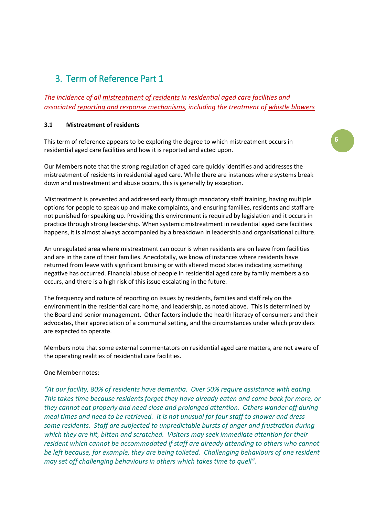# 3. Term of Reference Part 1

*The incidence of all mistreatment of residents in residential aged care facilities and associated reporting and response mechanisms, including the treatment of whistle blowers*

## **3.1 Mistreatment of residents**

This term of reference appears to be exploring the degree to which mistreatment occurs in residential aged care facilities and how it is reported and acted upon.

Our Members note that the strong regulation of aged care quickly identifies and addresses the mistreatment of residents in residential aged care. While there are instances where systems break down and mistreatment and abuse occurs, this is generally by exception.

Mistreatment is prevented and addressed early through mandatory staff training, having multiple options for people to speak up and make complaints, and ensuring families, residents and staff are not punished for speaking up. Providing this environment is required by legislation and it occurs in practice through strong leadership. When systemic mistreatment in residential aged care facilities happens, it is almost always accompanied by a breakdown in leadership and organisational culture.

An unregulated area where mistreatment can occur is when residents are on leave from facilities and are in the care of their families. Anecdotally, we know of instances where residents have returned from leave with significant bruising or with altered mood states indicating something negative has occurred. Financial abuse of people in residential aged care by family members also occurs, and there is a high risk of this issue escalating in the future.

The frequency and nature of reporting on issues by residents, families and staff rely on the environment in the residential care home, and leadership, as noted above. This is determined by the Board and senior management. Other factors include the health literacy of consumers and their advocates, their appreciation of a communal setting, and the circumstances under which providers are expected to operate.

Members note that some external commentators on residential aged care matters, are not aware of the operating realities of residential care facilities.

## One Member notes:

*"At our facility, 80% of residents have dementia. Over 50% require assistance with eating. This takes time because residents forget they have already eaten and come back for more, or they cannot eat properly and need close and prolonged attention. Others wander off during meal times and need to be retrieved. It is not unusual for four staff to shower and dress some residents. Staff are subjected to unpredictable bursts of anger and frustration during which they are hit, bitten and scratched. Visitors may seek immediate attention for their resident which cannot be accommodated if staff are already attending to others who cannot be left because, for example, they are being toileted. Challenging behaviours of one resident may set off challenging behaviours in others which takes time to quell".*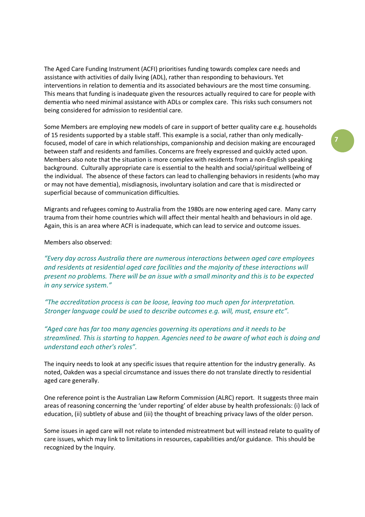The Aged Care Funding Instrument (ACFI) prioritises funding towards complex care needs and assistance with activities of daily living (ADL), rather than responding to behaviours. Yet interventions in relation to dementia and its associated behaviours are the most time consuming. This means that funding is inadequate given the resources actually required to care for people with dementia who need minimal assistance with ADLs or complex care. This risks such consumers not being considered for admission to residential care.

Some Members are employing new models of care in support of better quality care e.g. households of 15 residents supported by a stable staff. This example is a social, rather than only medicallyfocused, model of care in which relationships, companionship and decision making are encouraged between staff and residents and families. Concerns are freely expressed and quickly acted upon. Members also note that the situation is more complex with residents from a non-English speaking background. Culturally appropriate care is essential to the health and social/spiritual wellbeing of the individual. The absence of these factors can lead to challenging behaviors in residents (who may or may not have dementia), misdiagnosis, involuntary isolation and care that is misdirected or superficial because of communication difficulties.

Migrants and refugees coming to Australia from the 1980s are now entering aged care. Many carry trauma from their home countries which will affect their mental health and behaviours in old age. Again, this is an area where ACFI is inadequate, which can lead to service and outcome issues.

Members also observed:

*"Every day across Australia there are numerous interactions between aged care employees and residents at residential aged care facilities and the majority of these interactions will present no problems. There will be an issue with a small minority and this is to be expected in any service system."*

*"The accreditation process is can be loose, leaving too much open for interpretation. Stronger language could be used to describe outcomes e.g. will, must, ensure etc".*

*"Aged care has far too many agencies governing its operations and it needs to be streamlined. This is starting to happen. Agencies need to be aware of what each is doing and understand each other's roles".*

The inquiry needs to look at any specific issues that require attention for the industry generally. As noted, Oakden was a special circumstance and issues there do not translate directly to residential aged care generally.

One reference point is the Australian Law Reform Commission (ALRC) report. It suggests three main areas of reasoning concerning the 'under reporting' of elder abuse by health professionals: (i) lack of education, (ii) subtlety of abuse and (iii) the thought of breaching privacy laws of the older person.

Some issues in aged care will not relate to intended mistreatment but will instead relate to quality of care issues, which may link to limitations in resources, capabilities and/or guidance. This should be recognized by the Inquiry.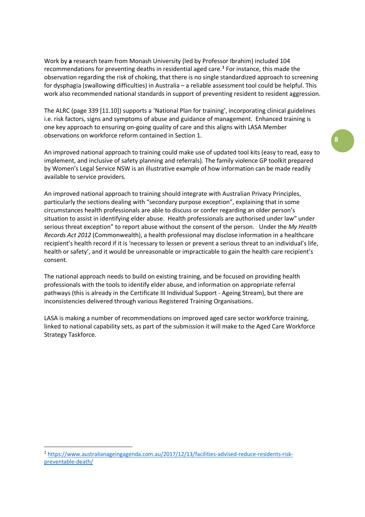Work by **a** research team from Monash University (led by Professor Ibrahim) included 104 recommendations for preventing deaths in residential aged care.**[1](#page-7-0)** For instance, this made the observation regarding the risk of choking, that there is no single standardized approach to screening for dysphagia (swallowing difficulties) in Australia – a reliable assessment tool could be helpful. This work also recommended national standards in support of preventing resident to resident aggression.

The ALRC (page 339 [11.10]) supports a 'National Plan for training', incorporating clinical guidelines i.e. risk factors, signs and symptoms of abuse and guidance of management. Enhanced training is one key approach to ensuring on-going quality of care and this aligns with LASA Member observations on workforce reform contained in Section 1.

An improved national approach to training could make use of updated tool kits (easy to read, easy to implement, and inclusive of safety planning and referrals). The family violence GP toolkit prepared by Women's Legal Service NSW is an illustrative example of how information can be made readily available to service providers.

An improved national approach to training should integrate with Australian Privacy Principles, particularly the sections dealing with "secondary purpose exception", explaining that in some circumstances health professionals are able to discuss or confer regarding an older person's situation to assist in identifying elder abuse. Health professionals are authorised under law" under serious threat exception" to report abuse without the consent of the person. Under the *My Health Records Act 2012* (Commonwealth), a health professional may disclose information in a healthcare recipient's health record if it is 'necessary to lessen or prevent a serious threat to an individual's life, health or safety', and it would be unreasonable or impracticable to gain the health care recipient's consent.

The national approach needs to build on existing training, and be focused on providing health professionals with the tools to identify elder abuse, and information on appropriate referral pathways (this is already in the Certificate III Individual Support - Ageing Stream), but there are inconsistencies delivered through various Registered Training Organisations.

LASA is making a number of recommendations on improved aged care sector workforce training, linked to national capability sets, as part of the submission it will make to the Aged Care Workforce Strategy Taskforce.

<span id="page-7-0"></span> <sup>1</sup> [https://www.australianageingagenda.com.au/2017/12/13/facilities-advised-reduce-residents-risk](https://www.australianageingagenda.com.au/2017/12/13/facilities-advised-reduce-residents-risk-preventable-death/)[preventable-death/](https://www.australianageingagenda.com.au/2017/12/13/facilities-advised-reduce-residents-risk-preventable-death/)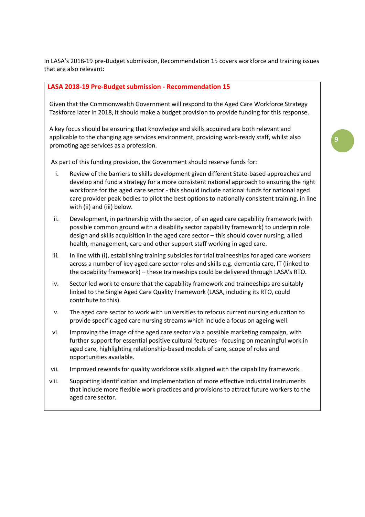In LASA's 2018-19 pre-Budget submission, Recommendation 15 covers workforce and training issues that are also relevant:

#### **LASA 2018-19 Pre-Budget submission - Recommendation 15**

Given that the Commonwealth Government will respond to the Aged Care Workforce Strategy Taskforce later in 2018, it should make a budget provision to provide funding for this response.

A key focus should be ensuring that knowledge and skills acquired are both relevant and applicable to the changing age services environment, providing work-ready staff, whilst also promoting age services as a profession.

As part of this funding provision, the Government should reserve funds for:

- i. Review of the barriers to skills development given different State-based approaches and develop and fund a strategy for a more consistent national approach to ensuring the right workforce for the aged care sector - this should include national funds for national aged care provider peak bodies to pilot the best options to nationally consistent training, in line with (ii) and (iii) below.
- ii. Development, in partnership with the sector, of an aged care capability framework (with possible common ground with a disability sector capability framework) to underpin role design and skills acquisition in the aged care sector – this should cover nursing, allied health, management, care and other support staff working in aged care.
- iii. In line with (i), establishing training subsidies for trial traineeships for aged care workers across a number of key aged care sector roles and skills e.g. dementia care, IT (linked to the capability framework) – these traineeships could be delivered through LASA's RTO.
- iv. Sector led work to ensure that the capability framework and traineeships are suitably linked to the Single Aged Care Quality Framework (LASA, including its RTO, could contribute to this).
- v. The aged care sector to work with universities to refocus current nursing education to provide specific aged care nursing streams which include a focus on ageing well.
- vi. Improving the image of the aged care sector via a possible marketing campaign, with further support for essential positive cultural features - focusing on meaningful work in aged care, highlighting relationship-based models of care, scope of roles and opportunities available.
- vii. Improved rewards for quality workforce skills aligned with the capability framework.
- viii. Supporting identification and implementation of more effective industrial instruments that include more flexible work practices and provisions to attract future workers to the aged care sector.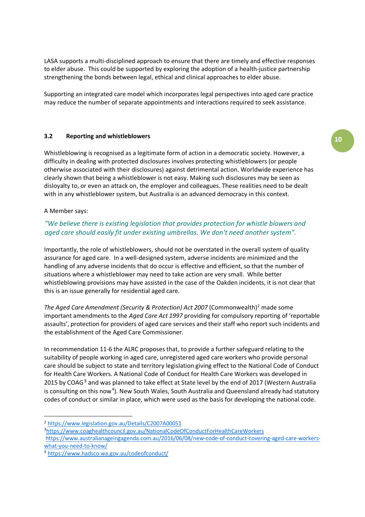LASA supports a multi-disciplined approach to ensure that there are timely and effective responses to elder abuse. This could be supported by exploring the adoption of a health-justice partnership strengthening the bonds between legal, ethical and clinical approaches to elder abuse.

Supporting an integrated care model which incorporates legal perspectives into aged care practice may reduce the number of separate appointments and interactions required to seek assistance.

#### **3.2 Reporting and whistleblowers**

Whistleblowing is recognised as a legitimate form of action in a democratic society. However, a difficulty in dealing with protected disclosures involves protecting whistleblowers (or people otherwise associated with their disclosures) against detrimental action. Worldwide experience has clearly shown that being a whistleblower is not easy. Making such disclosures may be seen as disloyalty to, or even an attack on, the employer and colleagues. These realities need to be dealt with in any whistleblower system, but Australia is an advanced democracy in this context.

#### A Member says:

## *"We believe there is existing legislation that provides protection for whistle blowers and aged care should easily fit under existing umbrellas. We don't need another system".*

Importantly, the role of whistleblowers, should not be overstated in the overall system of quality assurance for aged care. In a well-designed system, adverse incidents are minimized and the handling of any adverse incidents that do occur is effective and efficient, so that the number of situations where a whistleblower may need to take action are very small. While better whistleblowing provisions may have assisted in the case of the Oakden incidents, it is not clear that this is an issue generally for residential aged care.

*The Aged Care Amendment (Security & Protection) Act [2](#page-9-0)007 (Commonwealth)<sup>2</sup> made some* important amendments to the *Aged Care Act 1997* providing for compulsory reporting of 'reportable assaults', protection for providers of aged care services and their staff who report such incidents and the establishment of the Aged Care Commissioner.

In recommendation 11-6 the ALRC proposes that, to provide a further safeguard relating to the suitability of people working in aged care, unregistered aged care workers who provide personal care should be subject to state and territory legislation giving effect to the National Code of Conduct for Health Care Workers. A National Code of Conduct for Health Care Workers was developed in 2015 by COAG<sup>[3](#page-9-1)</sup> and was planned to take effect at State level by the end of 2017 (Western Australia is consulting on this now<sup>[4](#page-9-2)</sup>). New South Wales, South Australia and Queensland already had statutory codes of conduct or similar in place, which were used as the basis for developing the national code.

<span id="page-9-1"></span><span id="page-9-0"></span> <sup>2</sup> <https://www.legislation.gov.au/Details/C2007A00051>

<sup>3</sup> <https://www.coaghealthcouncil.gov.au/NationalCodeOfConductForHealthCareWorkers>

[https://www.australianageingagenda.com.au/2016/06/08/new-code-of-conduct-covering-aged-care-workers](https://www.australianageingagenda.com.au/2016/06/08/new-code-of-conduct-covering-aged-care-workers-what-you-need-to-know/)[what-you-need-to-know/](https://www.australianageingagenda.com.au/2016/06/08/new-code-of-conduct-covering-aged-care-workers-what-you-need-to-know/)

<span id="page-9-2"></span><sup>4</sup> <https://www.hadsco.wa.gov.au/codeofconduct/>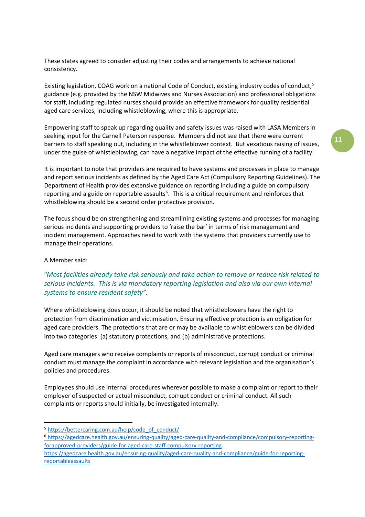These states agreed to consider adjusting their codes and arrangements to achieve national consistency.

Existing legislation, COAG work on a national Code of Conduct, existing industry codes of conduct.<sup>[5](#page-10-0)</sup> guidance (e.g. provided by the NSW Midwives and Nurses Association) and professional obligations for staff, including regulated nurses should provide an effective framework for quality residential aged care services, including whistleblowing, where this is appropriate.

Empowering staff to speak up regarding quality and safety issues was raised with LASA Members in seeking input for the Carnell Paterson response. Members did not see that there were current barriers to staff speaking out, including in the whistleblower context. But vexatious raising of issues, under the guise of whistleblowing, can have a negative impact of the effective running of a facility.

It is important to note that providers are required to have systems and processes in place to manage and report serious incidents as defined by the Aged Care Act (Compulsory Reporting Guidelines). The Department of Health provides extensive guidance on reporting including a guide on compulsory reporting and a guide on reportable assaults<sup>[6](#page-10-1)</sup>. This is a critical requirement and reinforces that whistleblowing should be a second order protective provision.

The focus should be on strengthening and streamlining existing systems and processes for managing serious incidents and supporting providers to 'raise the bar' in terms of risk management and incident management. Approaches need to work with the systems that providers currently use to manage their operations.

#### A Member said:

# *"Most facilities already take risk seriously and take action to remove or reduce risk related to serious incidents. This is via mandatory reporting legislation and also via our own internal systems to ensure resident safety".*

Where whistleblowing does occur, it should be noted that whistleblowers have the right to protection from discrimination and victimisation. Ensuring effective protection is an obligation for aged care providers. The protections that are or may be available to whistleblowers can be divided into two categories: (a) statutory protections, and (b) administrative protections.

Aged care managers who receive complaints or reports of misconduct, corrupt conduct or criminal conduct must manage the complaint in accordance with relevant legislation and the organisation's policies and procedures.

Employees should use internal procedures wherever possible to make a complaint or report to their employer of suspected or actual misconduct, corrupt conduct or criminal conduct. All such complaints or reports should initially, be investigated internally.

<span id="page-10-0"></span><sup>&</sup>lt;sup>5</sup> [https://bettercaring.com.au/help/code\\_of\\_conduct/](https://bettercaring.com.au/help/code_of_conduct/)

<span id="page-10-1"></span><sup>6</sup> [https://agedcare.health.gov.au/ensuring-quality/aged-care-quality-and-compliance/compulsory-reporting](https://agedcare.health.gov.au/ensuring-quality/aged-care-quality-and-compliance/compulsory-reporting-for-approved-providers/guide-for-aged-care-staff-compulsory-reporting)[forapproved-providers/guide-for-aged-care-staff-compulsory-reporting](https://agedcare.health.gov.au/ensuring-quality/aged-care-quality-and-compliance/compulsory-reporting-for-approved-providers/guide-for-aged-care-staff-compulsory-reporting)

[https://agedcare.health.gov.au/ensuring-quality/aged-care-quality-and-compliance/guide-for-reporting](https://agedcare.health.gov.au/ensuring-quality/aged-care-quality-and-compliance/guide-for-reporting-reportable-assaults)[reportableassaults](https://agedcare.health.gov.au/ensuring-quality/aged-care-quality-and-compliance/guide-for-reporting-reportable-assaults)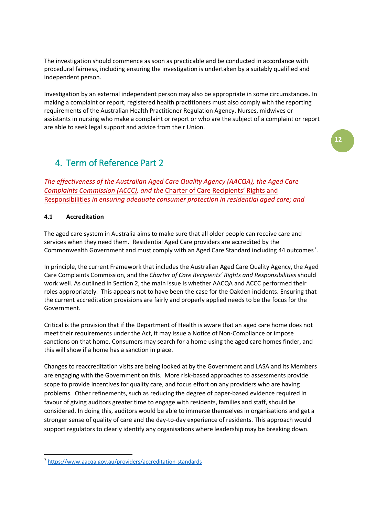The investigation should commence as soon as practicable and be conducted in accordance with procedural fairness, including ensuring the investigation is undertaken by a suitably qualified and independent person.

Investigation by an external independent person may also be appropriate in some circumstances. In making a complaint or report, registered health practitioners must also comply with the reporting requirements of the Australian Health Practitioner Regulation Agency. Nurses, midwives or assistants in nursing who make a complaint or report or who are the subject of a complaint or report are able to seek legal support and advice from their Union.

# 4. Term of Reference Part 2

*The effectiveness of the Australian Aged Care Quality Agency (AACQA), the Aged Care Complaints Commission (ACCC), and the* Charter of Care Recipients' Rights and Responsibilities *in ensuring adequate consumer protection in residential aged care; and*

## **4.1 Accreditation**

The aged care system in Australia aims to make sure that all older people can receive care and services when they need them. Residential Aged Care providers are accredited by the Commonwealth Government and must comply with an Aged Care Standard including 44 outcomes<sup>[7](#page-11-0)</sup>.

In principle, the current Framework that includes the Australian Aged Care Quality Agency, the Aged Care Complaints Commission, and the *Charter of Care Recipients' Rights and Responsibilities* should work well. As outlined in Section 2, the main issue is whether AACQA and ACCC performed their roles appropriately. This appears not to have been the case for the Oakden incidents. Ensuring that the current accreditation provisions are fairly and properly applied needs to be the focus for the Government.

Critical is the provision that if the Department of Health is aware that an aged care home does not meet their requirements under the Act, it may issue a Notice of Non-Compliance or impose sanctions on that home. Consumers may search for a home using the aged care homes finder, and this will show if a home has a sanction in place.

Changes to reaccreditation visits are being looked at by the Government and LASA and its Members are engaging with the Government on this. More risk-based approaches to assessments provide scope to provide incentives for quality care, and focus effort on any providers who are having problems. Other refinements, such as reducing the degree of paper-based evidence required in favour of giving auditors greater time to engage with residents, families and staff, should be considered. In doing this, auditors would be able to immerse themselves in organisations and get a stronger sense of quality of care and the day-to-day experience of residents. This approach would support regulators to clearly identify any organisations where leadership may be breaking down.

<span id="page-11-0"></span> <sup>7</sup> <https://www.aacqa.gov.au/providers/accreditation-standards>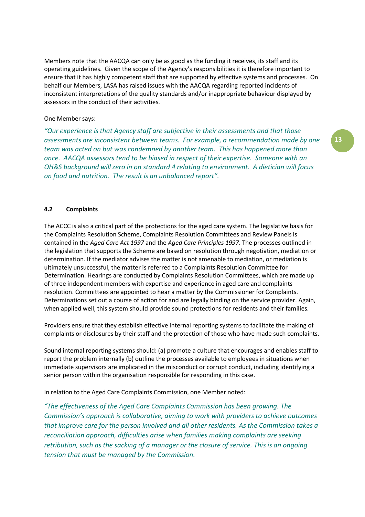Members note that the AACQA can only be as good as the funding it receives, its staff and its operating guidelines. Given the scope of the Agency's responsibilities it is therefore important to ensure that it has highly competent staff that are supported by effective systems and processes. On behalf our Members, LASA has raised issues with the AACQA regarding reported incidents of inconsistent interpretations of the quality standards and/or inappropriate behaviour displayed by assessors in the conduct of their activities.

#### One Member says:

*"Our experience is that Agency staff are subjective in their assessments and that those assessments are inconsistent between teams. For example, a recommendation made by one team was acted on but was condemned by another team. This has happened more than once. AACQA assessors tend to be biased in respect of their expertise. Someone with an OH&S background will zero in on standard 4 relating to environment. A dietician will focus on food and nutrition. The result is an unbalanced report".*

#### **4.2 Complaints**

The ACCC is also a critical part of the protections for the aged care system. The legislative basis for the Complaints Resolution Scheme, Complaints Resolution Committees and Review Panels is contained in the *Aged Care Act 1997* and the *Aged Care Principles 1997*. The processes outlined in the legislation that supports the Scheme are based on resolution through negotiation, mediation or determination. If the mediator advises the matter is not amenable to mediation, or mediation is ultimately unsuccessful, the matter is referred to a Complaints Resolution Committee for Determination. Hearings are conducted by Complaints Resolution Committees, which are made up of three independent members with expertise and experience in aged care and complaints resolution. Committees are appointed to hear a matter by the Commissioner for Complaints. Determinations set out a course of action for and are legally binding on the service provider. Again, when applied well, this system should provide sound protections for residents and their families.

Providers ensure that they establish effective internal reporting systems to facilitate the making of complaints or disclosures by their staff and the protection of those who have made such complaints.

Sound internal reporting systems should: (a) promote a culture that encourages and enables staff to report the problem internally (b) outline the processes available to employees in situations when immediate supervisors are implicated in the misconduct or corrupt conduct, including identifying a senior person within the organisation responsible for responding in this case.

In relation to the Aged Care Complaints Commission, one Member noted:

*"The effectiveness of the Aged Care Complaints Commission has been growing. The Commission's approach is collaborative, aiming to work with providers to achieve outcomes that improve care for the person involved and all other residents. As the Commission takes a reconciliation approach, difficulties arise when families making complaints are seeking retribution, such as the sacking of a manager or the closure of service. This is an ongoing tension that must be managed by the Commission.*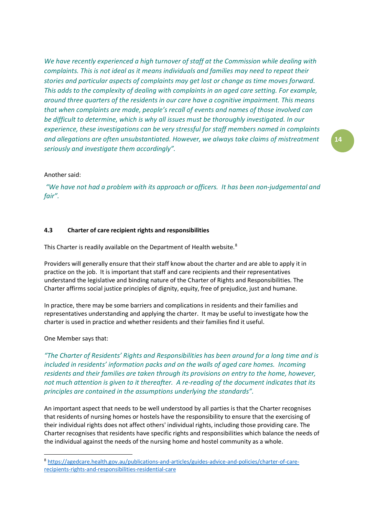*We have recently experienced a high turnover of staff at the Commission while dealing with complaints. This is not ideal as it means individuals and families may need to repeat their stories and particular aspects of complaints may get lost or change as time moves forward. This adds to the complexity of dealing with complaints in an aged care setting. For example, around three quarters of the residents in our care have a cognitive impairment. This means that when complaints are made, people's recall of events and names of those involved can be difficult to determine, which is why all issues must be thoroughly investigated. In our experience, these investigations can be very stressful for staff members named in complaints and allegations are often unsubstantiated. However, we always take claims of mistreatment seriously and investigate them accordingly".* 

#### Another said:

*"We have not had a problem with its approach or officers. It has been non-judgemental and fair".*

#### **4.3 Charter of care recipient rights and responsibilities**

This Charter is readily available on the Department of Health website. $8$ 

Providers will generally ensure that their staff know about the charter and are able to apply it in practice on the job. It is important that staff and care recipients and their representatives understand the legislative and binding nature of the Charter of Rights and Responsibilities. The Charter affirms social justice principles of dignity, equity, free of prejudice, just and humane.

In practice, there may be some barriers and complications in residents and their families and representatives understanding and applying the charter. It may be useful to investigate how the charter is used in practice and whether residents and their families find it useful.

#### One Member says that:

*"The Charter of Residents' Rights and Responsibilities has been around for a long time and is included in residents' information packs and on the walls of aged care homes. Incoming residents and their families are taken through its provisions on entry to the home, however, not much attention is given to it thereafter. A re-reading of the document indicates that its principles are contained in the assumptions underlying the standards".* 

An important aspect that needs to be well understood by all parties is that the Charter recognises that residents of nursing homes or hostels have the responsibility to ensure that the exercising of their individual rights does not affect others' individual rights, including those providing care. The Charter recognises that residents have specific rights and responsibilities which balance the needs of the individual against the needs of the nursing home and hostel community as a whole.

<span id="page-13-0"></span> <sup>8</sup> [https://agedcare.health.gov.au/publications-and-articles/guides-advice-and-policies/charter-of-care](https://agedcare.health.gov.au/publications-and-articles/guides-advice-and-policies/charter-of-care-recipients-rights-and-responsibilities-residential-care)[recipients-rights-and-responsibilities-residential-care](https://agedcare.health.gov.au/publications-and-articles/guides-advice-and-policies/charter-of-care-recipients-rights-and-responsibilities-residential-care)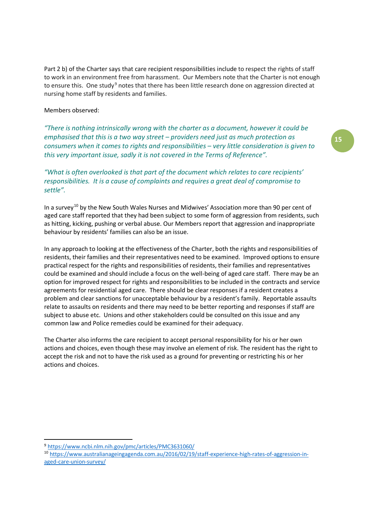Part 2 b) of the Charter says that care recipient responsibilities include to respect the rights of staff to work in an environment free from harassment. Our Members note that the Charter is not enough to ensure this. One study<sup>[9](#page-14-0)</sup> notes that there has been little research done on aggression directed at nursing home staff by residents and families.

Members observed:

*"There is nothing intrinsically wrong with the charter as a document, however it could be emphasised that this is a two way street – providers need just as much protection as consumers when it comes to rights and responsibilities – very little consideration is given to this very important issue, sadly it is not covered in the Terms of Reference".*

# *"What is often overlooked is that part of the document which relates to care recipients' responsibilities. It is a cause of complaints and requires a great deal of compromise to settle".*

In a survey<sup>[10](#page-14-1)</sup> by the New South Wales Nurses and Midwives' Association more than 90 per cent of aged care staff reported that they had been subject to some form of aggression from residents, such as hitting, kicking, pushing or verbal abuse. Our Members report that aggression and inappropriate behaviour by residents' families can also be an issue.

In any approach to looking at the effectiveness of the Charter, both the rights and responsibilities of residents, their families and their representatives need to be examined. Improved options to ensure practical respect for the rights and responsibilities of residents, their families and representatives could be examined and should include a focus on the well-being of aged care staff. There may be an option for improved respect for rights and responsibilities to be included in the contracts and service agreements for residential aged care. There should be clear responses if a resident creates a problem and clear sanctions for unacceptable behaviour by a resident's family. Reportable assaults relate to assaults on residents and there may need to be better reporting and responses if staff are subject to abuse etc. Unions and other stakeholders could be consulted on this issue and any common law and Police remedies could be examined for their adequacy.

The Charter also informs the care recipient to accept personal responsibility for his or her own actions and choices, even though these may involve an element of risk. The resident has the right to accept the risk and not to have the risk used as a ground for preventing or restricting his or her actions and choices.

<span id="page-14-0"></span> <sup>9</sup> <https://www.ncbi.nlm.nih.gov/pmc/articles/PMC3631060/>

<span id="page-14-1"></span><sup>10</sup> [https://www.australianageingagenda.com.au/2016/02/19/staff-experience-high-rates-of-aggression-in](https://www.australianageingagenda.com.au/2016/02/19/staff-experience-high-rates-of-aggression-in-aged-care-union-survey/)[aged-care-union-survey/](https://www.australianageingagenda.com.au/2016/02/19/staff-experience-high-rates-of-aggression-in-aged-care-union-survey/)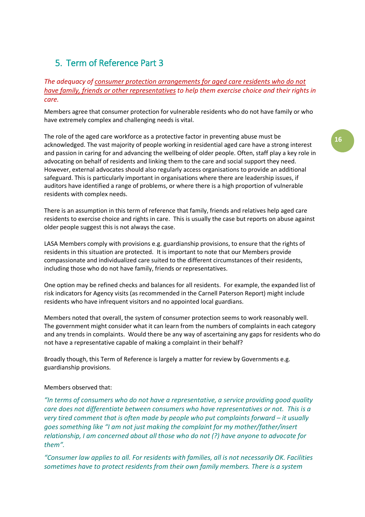# 5. Term of Reference Part 3

# *The adequacy of consumer protection arrangements for aged care residents who do not have family, friends or other representatives to help them exercise choice and their rights in care.*

Members agree that consumer protection for vulnerable residents who do not have family or who have extremely complex and challenging needs is vital.

The role of the aged care workforce as a protective factor in preventing abuse must be acknowledged. The vast majority of people working in residential aged care have a strong interest and passion in caring for and advancing the wellbeing of older people. Often, staff play a key role in advocating on behalf of residents and linking them to the care and social support they need. However, external advocates should also regularly access organisations to provide an additional safeguard. This is particularly important in organisations where there are leadership issues, if auditors have identified a range of problems, or where there is a high proportion of vulnerable residents with complex needs.

There is an assumption in this term of reference that family, friends and relatives help aged care residents to exercise choice and rights in care. This is usually the case but reports on abuse against older people suggest this is not always the case.

LASA Members comply with provisions e.g. guardianship provisions, to ensure that the rights of residents in this situation are protected. It is important to note that our Members provide compassionate and individualized care suited to the different circumstances of their residents, including those who do not have family, friends or representatives.

One option may be refined checks and balances for all residents. For example, the expanded list of risk indicators for Agency visits (as recommended in the Carnell Paterson Report) might include residents who have infrequent visitors and no appointed local guardians.

Members noted that overall, the system of consumer protection seems to work reasonably well. The government might consider what it can learn from the numbers of complaints in each category and any trends in complaints. Would there be any way of ascertaining any gaps for residents who do not have a representative capable of making a complaint in their behalf?

Broadly though, this Term of Reference is largely a matter for review by Governments e.g. guardianship provisions.

#### Members observed that:

*"In terms of consumers who do not have a representative, a service providing good quality care does not differentiate between consumers who have representatives or not. This is a very tired comment that is often made by people who put complaints forward – it usually goes something like "I am not just making the complaint for my mother/father/insert relationship, I am concerned about all those who do not (?) have anyone to advocate for them".*

*"Consumer law applies to all. For residents with families, all is not necessarily OK. Facilities sometimes have to protect residents from their own family members. There is a system*